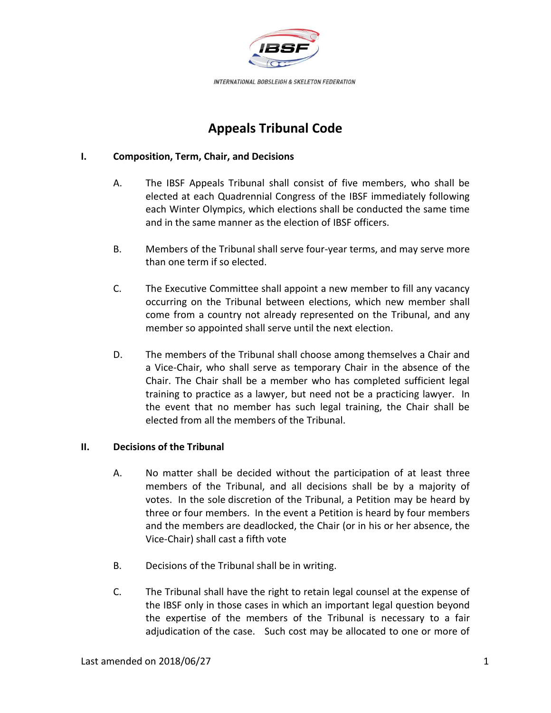

# **Appeals Tribunal Code**

### **I. Composition, Term, Chair, and Decisions**

- A. The IBSF Appeals Tribunal shall consist of five members, who shall be elected at each Quadrennial Congress of the IBSF immediately following each Winter Olympics, which elections shall be conducted the same time and in the same manner as the election of IBSF officers.
- B. Members of the Tribunal shall serve four-year terms, and may serve more than one term if so elected.
- C. The Executive Committee shall appoint a new member to fill any vacancy occurring on the Tribunal between elections, which new member shall come from a country not already represented on the Tribunal, and any member so appointed shall serve until the next election.
- D. The members of the Tribunal shall choose among themselves a Chair and a Vice-Chair, who shall serve as temporary Chair in the absence of the Chair. The Chair shall be a member who has completed sufficient legal training to practice as a lawyer, but need not be a practicing lawyer. In the event that no member has such legal training, the Chair shall be elected from all the members of the Tribunal.

### **II. Decisions of the Tribunal**

- A. No matter shall be decided without the participation of at least three members of the Tribunal, and all decisions shall be by a majority of votes. In the sole discretion of the Tribunal, a Petition may be heard by three or four members. In the event a Petition is heard by four members and the members are deadlocked, the Chair (or in his or her absence, the Vice-Chair) shall cast a fifth vote
- B. Decisions of the Tribunal shall be in writing.
- C. The Tribunal shall have the right to retain legal counsel at the expense of the IBSF only in those cases in which an important legal question beyond the expertise of the members of the Tribunal is necessary to a fair adjudication of the case. Such cost may be allocated to one or more of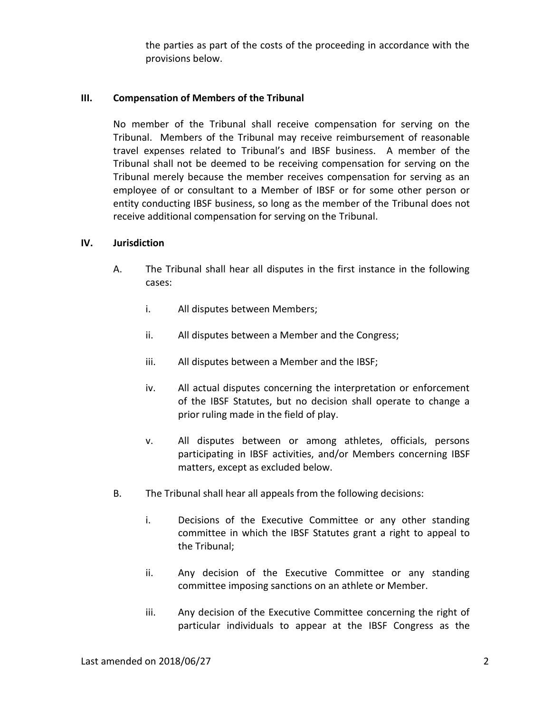the parties as part of the costs of the proceeding in accordance with the provisions below.

### **III. Compensation of Members of the Tribunal**

No member of the Tribunal shall receive compensation for serving on the Tribunal. Members of the Tribunal may receive reimbursement of reasonable travel expenses related to Tribunal's and IBSF business. A member of the Tribunal shall not be deemed to be receiving compensation for serving on the Tribunal merely because the member receives compensation for serving as an employee of or consultant to a Member of IBSF or for some other person or entity conducting IBSF business, so long as the member of the Tribunal does not receive additional compensation for serving on the Tribunal.

### **IV. Jurisdiction**

- A. The Tribunal shall hear all disputes in the first instance in the following cases:
	- i. All disputes between Members;
	- ii. All disputes between a Member and the Congress;
	- iii. All disputes between a Member and the IBSF;
	- iv. All actual disputes concerning the interpretation or enforcement of the IBSF Statutes, but no decision shall operate to change a prior ruling made in the field of play.
	- v. All disputes between or among athletes, officials, persons participating in IBSF activities, and/or Members concerning IBSF matters, except as excluded below.
- B. The Tribunal shall hear all appeals from the following decisions:
	- i. Decisions of the Executive Committee or any other standing committee in which the IBSF Statutes grant a right to appeal to the Tribunal;
	- ii. Any decision of the Executive Committee or any standing committee imposing sanctions on an athlete or Member.
	- iii. Any decision of the Executive Committee concerning the right of particular individuals to appear at the IBSF Congress as the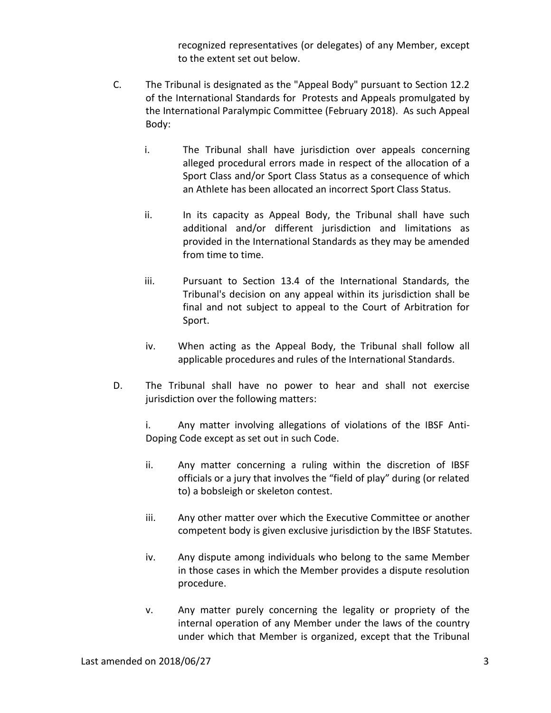recognized representatives (or delegates) of any Member, except to the extent set out below.

- C. The Tribunal is designated as the "Appeal Body" pursuant to Section 12.2 of the International Standards for Protests and Appeals promulgated by the International Paralympic Committee (February 2018). As such Appeal Body:
	- i. The Tribunal shall have jurisdiction over appeals concerning alleged procedural errors made in respect of the allocation of a Sport Class and/or Sport Class Status as a consequence of which an Athlete has been allocated an incorrect Sport Class Status.
	- ii. In its capacity as Appeal Body, the Tribunal shall have such additional and/or different jurisdiction and limitations as provided in the International Standards as they may be amended from time to time.
	- iii. Pursuant to Section 13.4 of the International Standards, the Tribunal's decision on any appeal within its jurisdiction shall be final and not subject to appeal to the Court of Arbitration for Sport.
	- iv. When acting as the Appeal Body, the Tribunal shall follow all applicable procedures and rules of the International Standards.
- D. The Tribunal shall have no power to hear and shall not exercise jurisdiction over the following matters:

i. Any matter involving allegations of violations of the IBSF Anti-Doping Code except as set out in such Code.

- ii. Any matter concerning a ruling within the discretion of IBSF officials or a jury that involves the "field of play" during (or related to) a bobsleigh or skeleton contest.
- iii. Any other matter over which the Executive Committee or another competent body is given exclusive jurisdiction by the IBSF Statutes.
- iv. Any dispute among individuals who belong to the same Member in those cases in which the Member provides a dispute resolution procedure.
- v. Any matter purely concerning the legality or propriety of the internal operation of any Member under the laws of the country under which that Member is organized, except that the Tribunal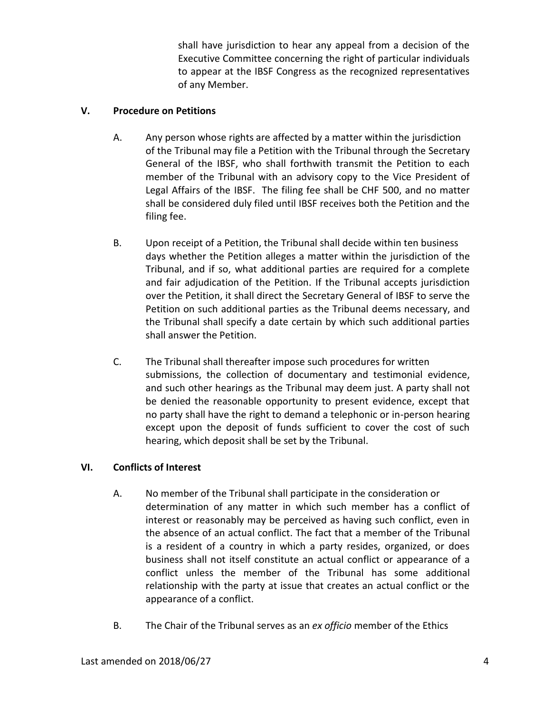shall have jurisdiction to hear any appeal from a decision of the Executive Committee concerning the right of particular individuals to appear at the IBSF Congress as the recognized representatives of any Member.

### **V. Procedure on Petitions**

- A. Any person whose rights are affected by a matter within the jurisdiction of the Tribunal may file a Petition with the Tribunal through the Secretary General of the IBSF, who shall forthwith transmit the Petition to each member of the Tribunal with an advisory copy to the Vice President of Legal Affairs of the IBSF. The filing fee shall be CHF 500, and no matter shall be considered duly filed until IBSF receives both the Petition and the filing fee.
- B. Upon receipt of a Petition, the Tribunal shall decide within ten business days whether the Petition alleges a matter within the jurisdiction of the Tribunal, and if so, what additional parties are required for a complete and fair adjudication of the Petition. If the Tribunal accepts jurisdiction over the Petition, it shall direct the Secretary General of IBSF to serve the Petition on such additional parties as the Tribunal deems necessary, and the Tribunal shall specify a date certain by which such additional parties shall answer the Petition.
- C. The Tribunal shall thereafter impose such procedures for written submissions, the collection of documentary and testimonial evidence, and such other hearings as the Tribunal may deem just. A party shall not be denied the reasonable opportunity to present evidence, except that no party shall have the right to demand a telephonic or in-person hearing except upon the deposit of funds sufficient to cover the cost of such hearing, which deposit shall be set by the Tribunal.

## **VI. Conflicts of Interest**

- A. No member of the Tribunal shall participate in the consideration or determination of any matter in which such member has a conflict of interest or reasonably may be perceived as having such conflict, even in the absence of an actual conflict. The fact that a member of the Tribunal is a resident of a country in which a party resides, organized, or does business shall not itself constitute an actual conflict or appearance of a conflict unless the member of the Tribunal has some additional relationship with the party at issue that creates an actual conflict or the appearance of a conflict.
- B. The Chair of the Tribunal serves as an *ex officio* member of the Ethics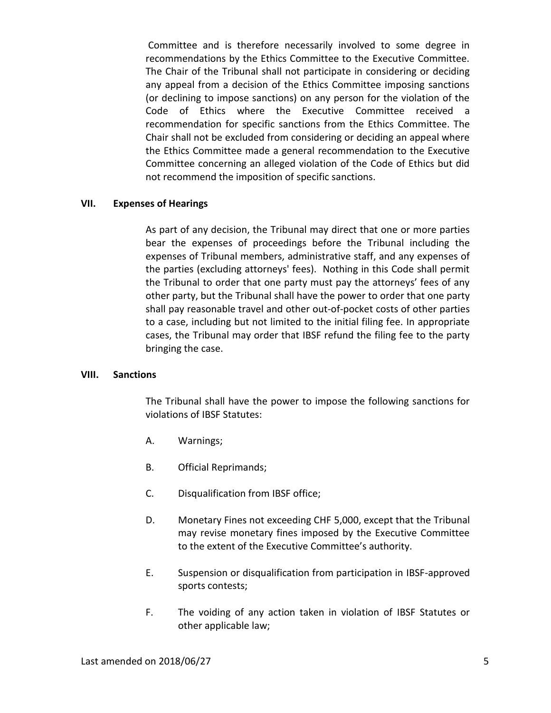Committee and is therefore necessarily involved to some degree in recommendations by the Ethics Committee to the Executive Committee. The Chair of the Tribunal shall not participate in considering or deciding any appeal from a decision of the Ethics Committee imposing sanctions (or declining to impose sanctions) on any person for the violation of the Code of Ethics where the Executive Committee received a recommendation for specific sanctions from the Ethics Committee. The Chair shall not be excluded from considering or deciding an appeal where the Ethics Committee made a general recommendation to the Executive Committee concerning an alleged violation of the Code of Ethics but did not recommend the imposition of specific sanctions.

### **VII. Expenses of Hearings**

As part of any decision, the Tribunal may direct that one or more parties bear the expenses of proceedings before the Tribunal including the expenses of Tribunal members, administrative staff, and any expenses of the parties (excluding attorneys' fees). Nothing in this Code shall permit the Tribunal to order that one party must pay the attorneys' fees of any other party, but the Tribunal shall have the power to order that one party shall pay reasonable travel and other out-of-pocket costs of other parties to a case, including but not limited to the initial filing fee. In appropriate cases, the Tribunal may order that IBSF refund the filing fee to the party bringing the case.

#### **VIII. Sanctions**

The Tribunal shall have the power to impose the following sanctions for violations of IBSF Statutes:

- A. Warnings;
- B. Official Reprimands;
- C. Disqualification from IBSF office;
- D. Monetary Fines not exceeding CHF 5,000, except that the Tribunal may revise monetary fines imposed by the Executive Committee to the extent of the Executive Committee's authority.
- E. Suspension or disqualification from participation in IBSF-approved sports contests;
- F. The voiding of any action taken in violation of IBSF Statutes or other applicable law;